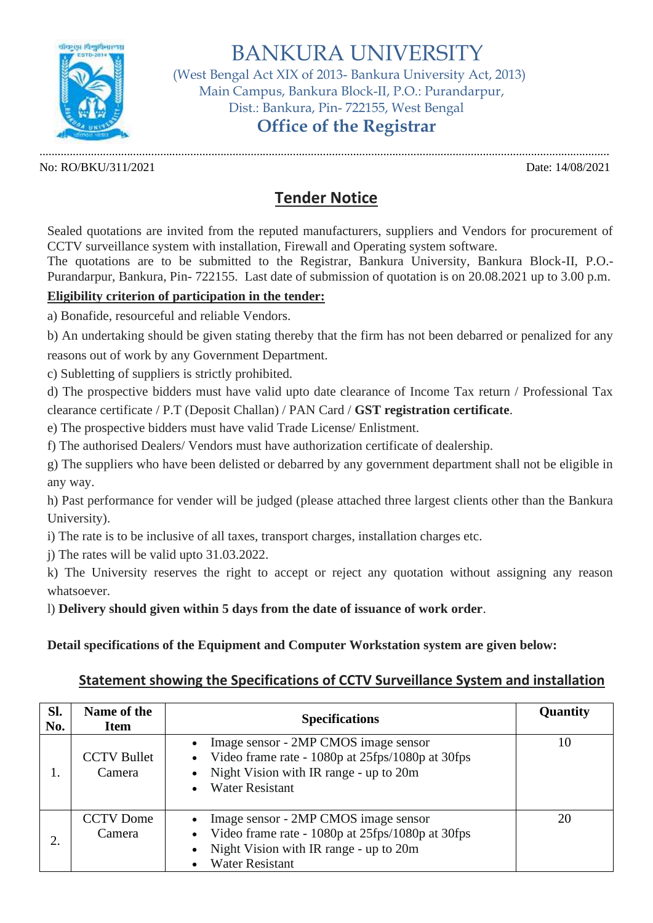

BANKURA UNIVERSITY

 (West Bengal Act XIX of 2013- Bankura University Act, 2013) Main Campus, Bankura Block-II, P.O.: Purandarpur, Dist.: Bankura, Pin- 722155, West Bengal

# **Office of the Registrar**

............................................................................................................................................................................................. No: RO/BKU/311/2021 Date: 14/08/2021

## **Tender Notice**

Sealed quotations are invited from the reputed manufacturers, suppliers and Vendors for procurement of CCTV surveillance system with installation, Firewall and Operating system software.

The quotations are to be submitted to the Registrar, Bankura University, Bankura Block-II, P.O.- Purandarpur, Bankura, Pin- 722155. Last date of submission of quotation is on 20.08.2021 up to 3.00 p.m.

#### **Eligibility criterion of participation in the tender:**

a) Bonafide, resourceful and reliable Vendors.

b) An undertaking should be given stating thereby that the firm has not been debarred or penalized for any reasons out of work by any Government Department.

c) Subletting of suppliers is strictly prohibited.

d) The prospective bidders must have valid upto date clearance of Income Tax return / Professional Tax clearance certificate / P.T (Deposit Challan) / PAN Card / **GST registration certificate**.

e) The prospective bidders must have valid Trade License/ Enlistment.

f) The authorised Dealers/ Vendors must have authorization certificate of dealership.

g) The suppliers who have been delisted or debarred by any government department shall not be eligible in any way.

h) Past performance for vender will be judged (please attached three largest clients other than the Bankura University).

i) The rate is to be inclusive of all taxes, transport charges, installation charges etc.

j) The rates will be valid upto 31.03.2022.

k) The University reserves the right to accept or reject any quotation without assigning any reason whatsoever.

l) **Delivery should given within 5 days from the date of issuance of work order**.

**Detail specifications of the Equipment and Computer Workstation system are given below:**

### **Statement showing the Specifications of CCTV Surveillance System and installation**

| Sl.<br>No. | Name of the<br>Item          | <b>Specifications</b>                                                                                                                                                     | Quantity |
|------------|------------------------------|---------------------------------------------------------------------------------------------------------------------------------------------------------------------------|----------|
| Ι.         | <b>CCTV Bullet</b><br>Camera | Image sensor - 2MP CMOS image sensor<br>Video frame rate - 1080p at 25fps/1080p at 30fps<br>Night Vision with IR range - up to 20m<br>$\bullet$<br><b>Water Resistant</b> | 10       |
|            | <b>CCTV</b> Dome<br>Camera   | Image sensor - 2MP CMOS image sensor<br>Video frame rate - 1080p at 25fps/1080p at 30fps<br>Night Vision with IR range - up to 20m<br><b>Water Resistant</b>              | 20       |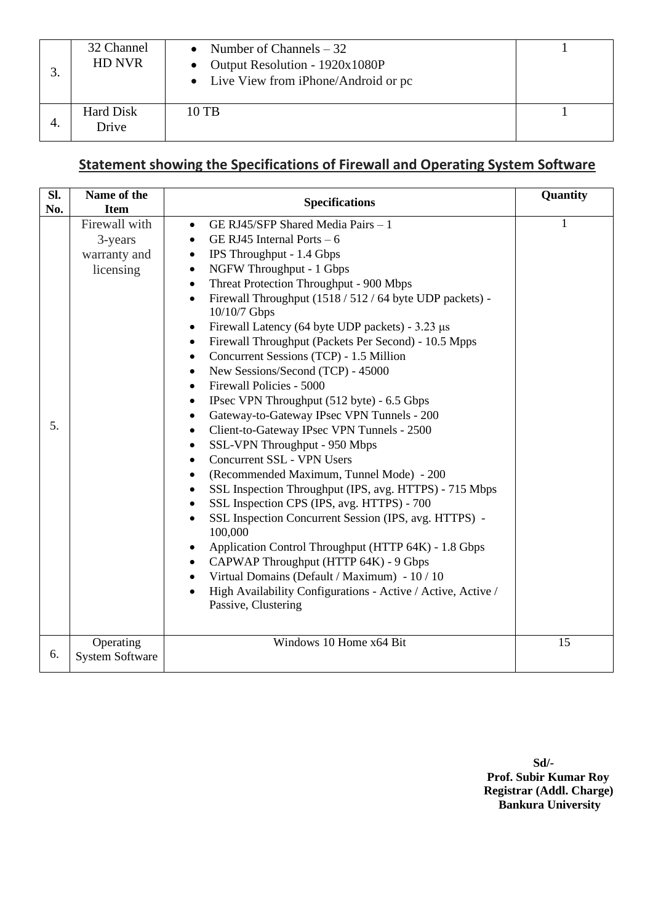|    | 32 Channel<br>HD NVR | Number of Channels $-32$<br>$\bullet$<br>Output Resolution - 1920x1080P<br>• Live View from iPhone/Android or pc |  |
|----|----------------------|------------------------------------------------------------------------------------------------------------------|--|
| 4. | Hard Disk<br>Drive   | 10 TB                                                                                                            |  |

### **Statement showing the Specifications of Firewall and Operating System Software**

| SI.       | Name of the                                                          | <b>Specifications</b>                                                                                                                                                                                                                                                                                                                                                                                                                                                                                                                                                                                                                                                                                                                                                                                                                                                                                                                                                                                                                                                                                                                                                                                                                                                                                                                    | Quantity |
|-----------|----------------------------------------------------------------------|------------------------------------------------------------------------------------------------------------------------------------------------------------------------------------------------------------------------------------------------------------------------------------------------------------------------------------------------------------------------------------------------------------------------------------------------------------------------------------------------------------------------------------------------------------------------------------------------------------------------------------------------------------------------------------------------------------------------------------------------------------------------------------------------------------------------------------------------------------------------------------------------------------------------------------------------------------------------------------------------------------------------------------------------------------------------------------------------------------------------------------------------------------------------------------------------------------------------------------------------------------------------------------------------------------------------------------------|----------|
| No.<br>5. | <b>Item</b><br>Firewall with<br>3-years<br>warranty and<br>licensing | GE RJ45/SFP Shared Media Pairs - 1<br>$\bullet$<br>GE RJ45 Internal Ports $-6$<br>$\bullet$<br>IPS Throughput - 1.4 Gbps<br>$\bullet$<br>NGFW Throughput - 1 Gbps<br>$\bullet$<br>Threat Protection Throughput - 900 Mbps<br>Firewall Throughput (1518 / 512 / 64 byte UDP packets) -<br>$\bullet$<br>10/10/7 Gbps<br>Firewall Latency (64 byte UDP packets) - 3.23 µs<br>٠<br>Firewall Throughput (Packets Per Second) - 10.5 Mpps<br>$\bullet$<br>Concurrent Sessions (TCP) - 1.5 Million<br>$\bullet$<br>New Sessions/Second (TCP) - 45000<br>$\bullet$<br>Firewall Policies - 5000<br>$\bullet$<br>IPsec VPN Throughput (512 byte) - 6.5 Gbps<br>Gateway-to-Gateway IPsec VPN Tunnels - 200<br>$\bullet$<br>Client-to-Gateway IPsec VPN Tunnels - 2500<br>$\bullet$<br>SSL-VPN Throughput - 950 Mbps<br>$\bullet$<br><b>Concurrent SSL - VPN Users</b><br>(Recommended Maximum, Tunnel Mode) - 200<br>$\bullet$<br>SSL Inspection Throughput (IPS, avg. HTTPS) - 715 Mbps<br>SSL Inspection CPS (IPS, avg. HTTPS) - 700<br>SSL Inspection Concurrent Session (IPS, avg. HTTPS) -<br>100,000<br>Application Control Throughput (HTTP 64K) - 1.8 Gbps<br>CAPWAP Throughput (HTTP 64K) - 9 Gbps<br>Virtual Domains (Default / Maximum) - 10 / 10<br>High Availability Configurations - Active / Active, Active /<br>Passive, Clustering | 1        |
| 6.        | Operating<br><b>System Software</b>                                  | Windows 10 Home x64 Bit                                                                                                                                                                                                                                                                                                                                                                                                                                                                                                                                                                                                                                                                                                                                                                                                                                                                                                                                                                                                                                                                                                                                                                                                                                                                                                                  | 15       |

**Sd/- Prof. Subir Kumar Roy Registrar (Addl. Charge) Bankura University**